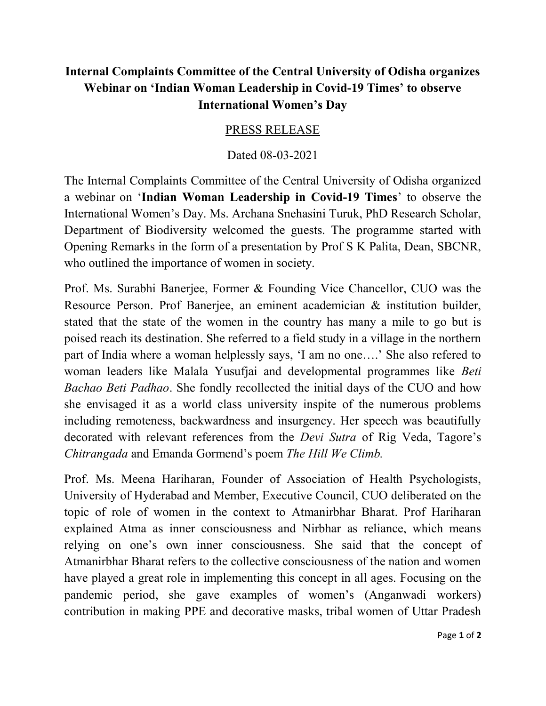## Internal Complaints Committee of the Central University of Odisha organizes Webinar on 'Indian Woman Leadership in Covid-19 Times' to observe International Women's Day

## PRESS RELEASE

## Dated 08-03-2021

The Internal Complaints Committee of the Central University of Odisha organized a webinar on 'Indian Woman Leadership in Covid-19 Times' to observe the International Women's Day. Ms. Archana Snehasini Turuk, PhD Research Scholar, Department of Biodiversity welcomed the guests. The programme started with Opening Remarks in the form of a presentation by Prof S K Palita, Dean, SBCNR, who outlined the importance of women in society.

Prof. Ms. Surabhi Banerjee, Former & Founding Vice Chancellor, CUO was the Resource Person. Prof Banerjee, an eminent academician & institution builder, stated that the state of the women in the country has many a mile to go but is poised reach its destination. She referred to a field study in a village in the northern part of India where a woman helplessly says, 'I am no one….' She also refered to woman leaders like Malala Yusufjai and developmental programmes like Beti Bachao Beti Padhao. She fondly recollected the initial days of the CUO and how she envisaged it as a world class university inspite of the numerous problems including remoteness, backwardness and insurgency. Her speech was beautifully decorated with relevant references from the Devi Sutra of Rig Veda, Tagore's Chitrangada and Emanda Gormend's poem The Hill We Climb.

Prof. Ms. Meena Hariharan, Founder of Association of Health Psychologists, University of Hyderabad and Member, Executive Council, CUO deliberated on the topic of role of women in the context to Atmanirbhar Bharat. Prof Hariharan explained Atma as inner consciousness and Nirbhar as reliance, which means relying on one's own inner consciousness. She said that the concept of Atmanirbhar Bharat refers to the collective consciousness of the nation and women have played a great role in implementing this concept in all ages. Focusing on the pandemic period, she gave examples of women's (Anganwadi workers) contribution in making PPE and decorative masks, tribal women of Uttar Pradesh